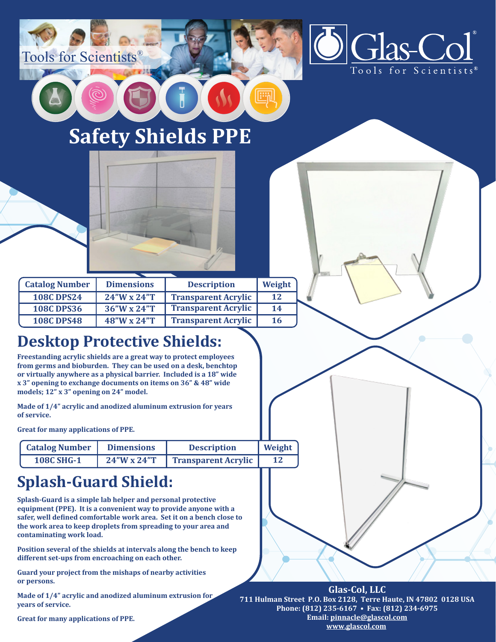



# **Safety Shields PPE**

| <b>Catalog Number</b> | <b>Dimensions</b>    | <b>Description</b>         | Weight |
|-----------------------|----------------------|----------------------------|--------|
| <b>108C DPS24</b>     | $24"W \times 24"T$   | <b>Transparent Acrylic</b> | 12     |
| <b>108C DPS36</b>     | 36"W x 24"T          | <b>Transparent Acrylic</b> | 14     |
| <b>108C DPS48</b>     | $48''W \times 24''T$ | <b>Transparent Acrylic</b> | 16     |

#### **Desktop Protective Shields:**

**Freestanding acrylic shields are a great way to protect employees from germs and bioburden. They can be used on a desk, benchtop or virtually anywhere as a physical barrier. Included is a 18" wide x 3" opening to exchange documents on items on 36" & 48" wide models; 12" x 3" opening on 24" model.**

**Made of 1/4" acrylic and anodized aluminum extrusion for years of service.**

**Great for many applications of PPE.**

| <b>Catalog Number</b> | <b>Dimensions</b>  | <b>Description</b>         | Weight |
|-----------------------|--------------------|----------------------------|--------|
| <b>108C SHG-1</b>     | $24"W \times 24"T$ | <b>Transparent Acrylic</b> |        |

#### **Splash-Guard Shield:**

**Splash-Guard is a simple lab helper and personal protective equipment (PPE). It is a convenient way to provide anyone with a**  safer, well defined comfortable work area. Set it on a bench close to **the work area to keep droplets from spreading to your area and contaminating work load.**

**Position several of the shields at intervals along the bench to keep different set-ups from encroaching on each other.**

**Guard your project from the mishaps of nearby activities or persons.**

**Made of 1/4" acrylic and anodized aluminum extrusion for years of service.**

**711 Hulman Street P.O. Box 2128, Terre Haute, IN 47802 0128 USA Phone: (812) 235-6167 • Fax: (812) 234-6975 Email: pinnacle@glascol.com www.glascol.com Glas-Col, LLC**

**Great for many applications of PPE.**